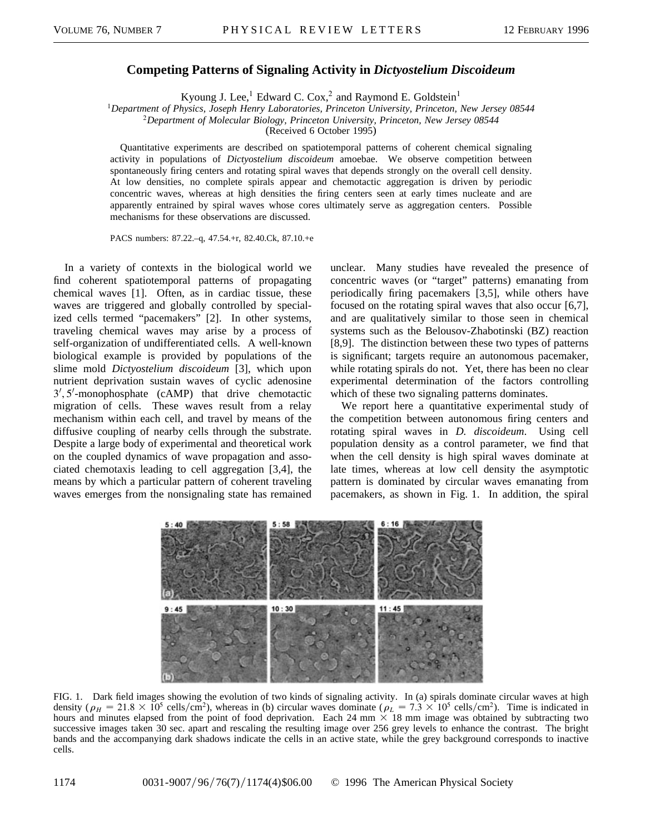## **Competing Patterns of Signaling Activity in** *Dictyostelium Discoideum*

Kyoung J. Lee,<sup>1</sup> Edward C. Cox,<sup>2</sup> and Raymond E. Goldstein<sup>1</sup>

<sup>1</sup>*Department of Physics, Joseph Henry Laboratories, Princeton University, Princeton, New Jersey 08544*

<sup>2</sup>*Department of Molecular Biology, Princeton University, Princeton, New Jersey 08544*

(Received 6 October 1995)

Quantitative experiments are described on spatiotemporal patterns of coherent chemical signaling activity in populations of *Dictyostelium discoideum* amoebae. We observe competition between spontaneously firing centers and rotating spiral waves that depends strongly on the overall cell density. At low densities, no complete spirals appear and chemotactic aggregation is driven by periodic concentric waves, whereas at high densities the firing centers seen at early times nucleate and are apparently entrained by spiral waves whose cores ultimately serve as aggregation centers. Possible mechanisms for these observations are discussed.

PACS numbers: 87.22.–q, 47.54.+r, 82.40.Ck, 87.10.+e

In a variety of contexts in the biological world we find coherent spatiotemporal patterns of propagating chemical waves [1]. Often, as in cardiac tissue, these waves are triggered and globally controlled by specialized cells termed "pacemakers" [2]. In other systems, traveling chemical waves may arise by a process of self-organization of undifferentiated cells. A well-known biological example is provided by populations of the slime mold *Dictyostelium discoideum* [3], which upon nutrient deprivation sustain waves of cyclic adenosine 3', 5'-monophosphate (cAMP) that drive chemotactic migration of cells. These waves result from a relay mechanism within each cell, and travel by means of the diffusive coupling of nearby cells through the substrate. Despite a large body of experimental and theoretical work on the coupled dynamics of wave propagation and associated chemotaxis leading to cell aggregation [3,4], the means by which a particular pattern of coherent traveling waves emerges from the nonsignaling state has remained unclear. Many studies have revealed the presence of concentric waves (or "target" patterns) emanating from periodically firing pacemakers [3,5], while others have focused on the rotating spiral waves that also occur [6,7], and are qualitatively similar to those seen in chemical systems such as the Belousov-Zhabotinski (BZ) reaction [8,9]. The distinction between these two types of patterns is significant; targets require an autonomous pacemaker, while rotating spirals do not. Yet, there has been no clear experimental determination of the factors controlling which of these two signaling patterns dominates.

We report here a quantitative experimental study of the competition between autonomous firing centers and rotating spiral waves in *D. discoideum*. Using cell population density as a control parameter, we find that when the cell density is high spiral waves dominate at late times, whereas at low cell density the asymptotic pattern is dominated by circular waves emanating from pacemakers, as shown in Fig. 1. In addition, the spiral



FIG. 1. Dark field images showing the evolution of two kinds of signaling activity. In (a) spirals dominate circular waves at high density ( $\rho_H = 21.8 \times 10^5$  cells/cm<sup>2</sup>), whereas in (b) circular waves dominate ( $\rho_L = 7.3 \times 10^5$  cells/cm<sup>2</sup>). Time is indicated in hours and minutes elapsed from the point of food deprivation. Each 24 mm  $\times$  18 mm image was obtained by subtracting two successive images taken 30 sec. apart and rescaling the resulting image over 256 grey levels to enhance the contrast. The bright bands and the accompanying dark shadows indicate the cells in an active state, while the grey background corresponds to inactive cells.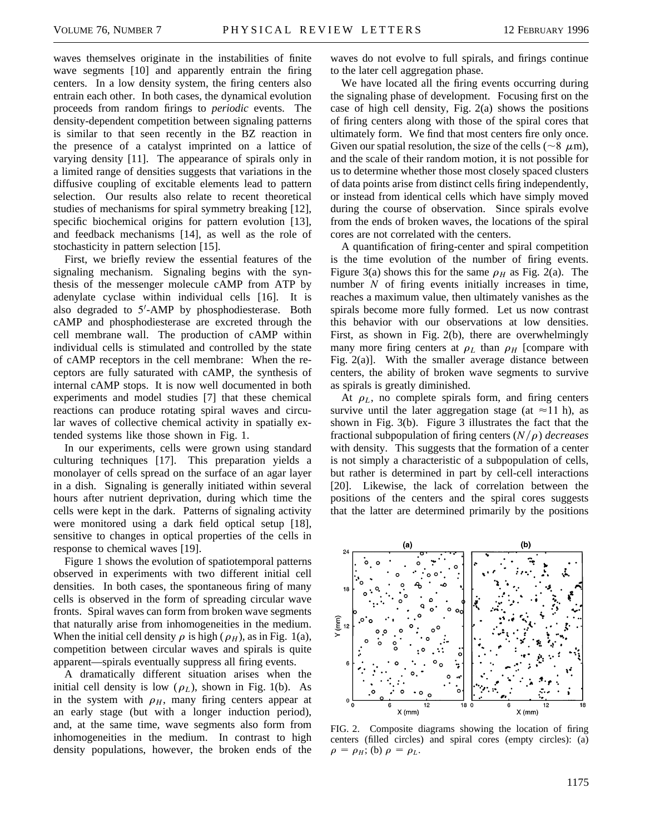waves themselves originate in the instabilities of finite wave segments [10] and apparently entrain the firing centers. In a low density system, the firing centers also entrain each other. In both cases, the dynamical evolution proceeds from random firings to *periodic* events. The density-dependent competition between signaling patterns is similar to that seen recently in the BZ reaction in the presence of a catalyst imprinted on a lattice of varying density [11]. The appearance of spirals only in a limited range of densities suggests that variations in the diffusive coupling of excitable elements lead to pattern selection. Our results also relate to recent theoretical studies of mechanisms for spiral symmetry breaking [12], specific biochemical origins for pattern evolution [13], and feedback mechanisms [14], as well as the role of stochasticity in pattern selection [15].

First, we briefly review the essential features of the signaling mechanism. Signaling begins with the synthesis of the messenger molecule cAMP from ATP by adenylate cyclase within individual cells [16]. It is also degraded to 5'-AMP by phosphodiesterase. Both cAMP and phosphodiesterase are excreted through the cell membrane wall. The production of cAMP within individual cells is stimulated and controlled by the state of cAMP receptors in the cell membrane: When the receptors are fully saturated with cAMP, the synthesis of internal cAMP stops. It is now well documented in both experiments and model studies [7] that these chemical reactions can produce rotating spiral waves and circular waves of collective chemical activity in spatially extended systems like those shown in Fig. 1.

In our experiments, cells were grown using standard culturing techniques [17]. This preparation yields a monolayer of cells spread on the surface of an agar layer in a dish. Signaling is generally initiated within several hours after nutrient deprivation, during which time the cells were kept in the dark. Patterns of signaling activity were monitored using a dark field optical setup [18], sensitive to changes in optical properties of the cells in response to chemical waves [19].

Figure 1 shows the evolution of spatiotemporal patterns observed in experiments with two different initial cell densities. In both cases, the spontaneous firing of many cells is observed in the form of spreading circular wave fronts. Spiral waves can form from broken wave segments that naturally arise from inhomogeneities in the medium. When the initial cell density  $\rho$  is high ( $\rho$ <sub>*H*</sub>), as in Fig. 1(a), competition between circular waves and spirals is quite apparent—spirals eventually suppress all firing events.

A dramatically different situation arises when the initial cell density is low  $(\rho_L)$ , shown in Fig. 1(b). As in the system with  $\rho$ <sub>*H*</sub>, many firing centers appear at an early stage (but with a longer induction period), and, at the same time, wave segments also form from inhomogeneities in the medium. In contrast to high density populations, however, the broken ends of the

waves do not evolve to full spirals, and firings continue to the later cell aggregation phase.

We have located all the firing events occurring during the signaling phase of development. Focusing first on the case of high cell density, Fig. 2(a) shows the positions of firing centers along with those of the spiral cores that ultimately form. We find that most centers fire only once. Given our spatial resolution, the size of the cells ( $\sim$ 8  $\mu$ m), and the scale of their random motion, it is not possible for us to determine whether those most closely spaced clusters of data points arise from distinct cells firing independently, or instead from identical cells which have simply moved during the course of observation. Since spirals evolve from the ends of broken waves, the locations of the spiral cores are not correlated with the centers.

A quantification of firing-center and spiral competition is the time evolution of the number of firing events. Figure 3(a) shows this for the same  $\rho_H$  as Fig. 2(a). The number *N* of firing events initially increases in time, reaches a maximum value, then ultimately vanishes as the spirals become more fully formed. Let us now contrast this behavior with our observations at low densities. First, as shown in Fig. 2(b), there are overwhelmingly many more firing centers at  $\rho_L$  than  $\rho_H$  [compare with Fig. 2(a)]. With the smaller average distance between centers, the ability of broken wave segments to survive as spirals is greatly diminished.

At  $\rho_L$ , no complete spirals form, and firing centers survive until the later aggregation stage (at  $\approx$ 11 h), as shown in Fig. 3(b). Figure 3 illustrates the fact that the fractional subpopulation of firing centers  $(N/\rho)$  *decreases* with density. This suggests that the formation of a center is not simply a characteristic of a subpopulation of cells, but rather is determined in part by cell-cell interactions [20]. Likewise, the lack of correlation between the positions of the centers and the spiral cores suggests that the latter are determined primarily by the positions



FIG. 2. Composite diagrams showing the location of firing centers (filled circles) and spiral cores (empty circles): (a)  $\rho = \rho_H$ ; (b)  $\rho = \rho_L$ .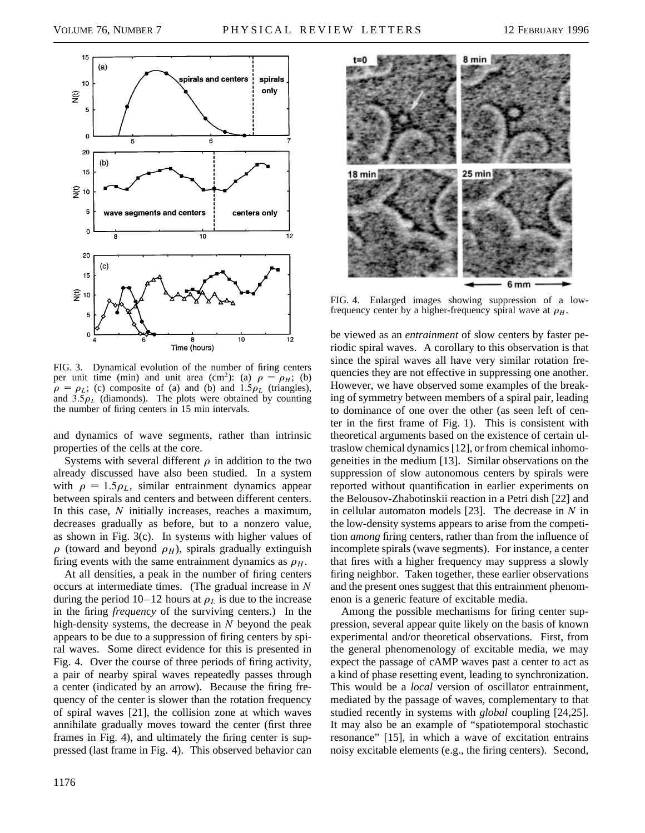

FIG. 3. Dynamical evolution of the number of firing centers per unit time (min) and unit area (cm<sup>2</sup>): (a)  $\rho = \rho_H$ ; (b)  $\rho = \rho_L$ ; (c) composite of (a) and (b) and  $1.5\rho_L$  (triangles), and  $3.5\rho_L$  (diamonds). The plots were obtained by counting the number of firing centers in 15 min intervals.

and dynamics of wave segments, rather than intrinsic properties of the cells at the core.

Systems with several different  $\rho$  in addition to the two already discussed have also been studied. In a system with  $\rho = 1.5\rho_L$ , similar entrainment dynamics appear between spirals and centers and between different centers. In this case, *N* initially increases, reaches a maximum, decreases gradually as before, but to a nonzero value, as shown in Fig. 3(c). In systems with higher values of  $\rho$  (toward and beyond  $\rho$ <sub>*H*</sub>), spirals gradually extinguish firing events with the same entrainment dynamics as  $\rho_H$ .

At all densities, a peak in the number of firing centers occurs at intermediate times. (The gradual increase in *N* during the period  $10-12$  hours at  $\rho_L$  is due to the increase in the firing *frequency* of the surviving centers.) In the high-density systems, the decrease in *N* beyond the peak appears to be due to a suppression of firing centers by spiral waves. Some direct evidence for this is presented in Fig. 4. Over the course of three periods of firing activity, a pair of nearby spiral waves repeatedly passes through a center (indicated by an arrow). Because the firing frequency of the center is slower than the rotation frequency of spiral waves [21], the collision zone at which waves annihilate gradually moves toward the center (first three frames in Fig. 4), and ultimately the firing center is suppressed (last frame in Fig. 4). This observed behavior can



FIG. 4. Enlarged images showing suppression of a lowfrequency center by a higher-frequency spiral wave at  $\rho_H$ .

be viewed as an *entrainment* of slow centers by faster periodic spiral waves. A corollary to this observation is that since the spiral waves all have very similar rotation frequencies they are not effective in suppressing one another. However, we have observed some examples of the breaking of symmetry between members of a spiral pair, leading to dominance of one over the other (as seen left of center in the first frame of Fig. 1). This is consistent with theoretical arguments based on the existence of certain ultraslow chemical dynamics [12], or from chemical inhomogeneities in the medium [13]. Similar observations on the suppression of slow autonomous centers by spirals were reported without quantification in earlier experiments on the Belousov-Zhabotinskii reaction in a Petri dish [22] and in cellular automaton models [23]. The decrease in *N* in the low-density systems appears to arise from the competition *among* firing centers, rather than from the influence of incomplete spirals (wave segments). For instance, a center that fires with a higher frequency may suppress a slowly firing neighbor. Taken together, these earlier observations and the present ones suggest that this entrainment phenomenon is a generic feature of excitable media.

Among the possible mechanisms for firing center suppression, several appear quite likely on the basis of known experimental and/or theoretical observations. First, from the general phenomenology of excitable media, we may expect the passage of cAMP waves past a center to act as a kind of phase resetting event, leading to synchronization. This would be a *local* version of oscillator entrainment, mediated by the passage of waves, complementary to that studied recently in systems with *global* coupling [24,25]. It may also be an example of "spatiotemporal stochastic resonance" [15], in which a wave of excitation entrains noisy excitable elements (e.g., the firing centers). Second,